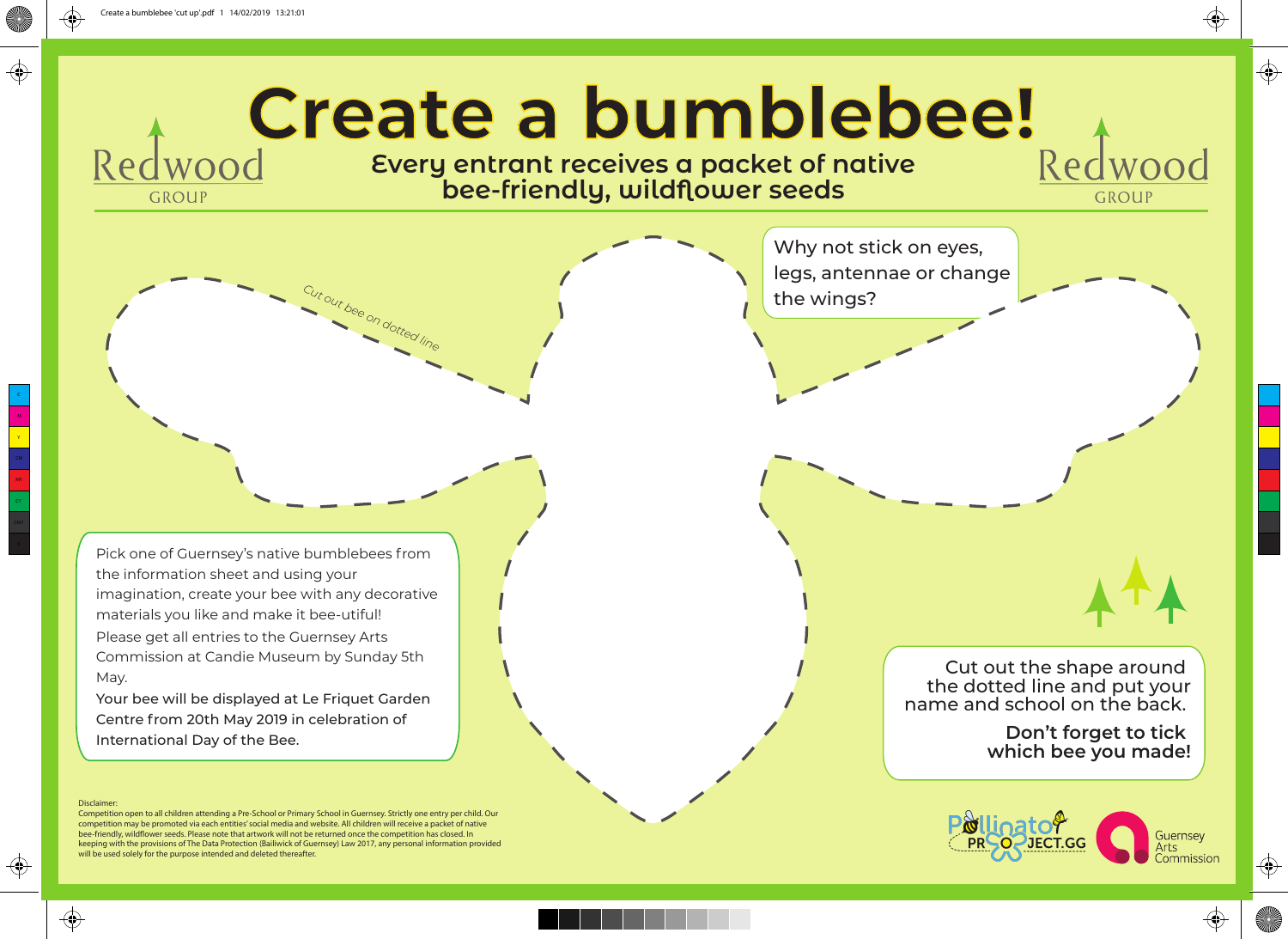**GROUP** 

## Redwood **Create a bumblebee!** Red

**Every entrant receives a packet of native bee-friendly, wildflower seeds**

Why not stick on eyes, legs, antennae or change *Cu<sub>t be</sub>* the wings?

Pick one of Guernsey's native bumblebees from the information sheet and using your imagination, create your bee with any decorative materials you like and make it bee-utiful! Please get all entries to the Guernsey Arts Commission at Candie Museum by Sunday 5th May.

Your bee will be displayed at Le Friquet Garden Centre from 20th May 2019 in celebration of International Day of the Bee.

## Disclaimer

 $\bigoplus$ 

M Y

 $\bigoplus$ 

MY

↔

Competition open to all children attending a Pre-School or Primary School in Guernsey. Strictly one entry per child. Our competition may be promoted via each entities' social media and website. All children will receive a packet of native bee-friendly, wildflower seeds. Please note that artwork will not be returned once the competition has closed. In keeping with the provisions of The Data Protection (Bailiwick of Guernsey) Law 2017, any personal information provided will be used solely for the purpose intended and deleted thereafter.

Cut out the shape around the dotted line and put your name and school on the back.

> **Don't forget to tick which bee you made!**

GROUP

♦

 $\bigoplus$